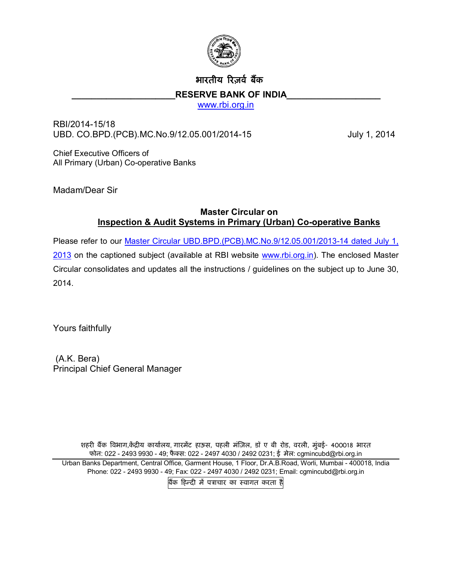

# भारतीय रिजर्व बैंक

#### RESERVE BANK OF INDIA

[www.rbi.org.in](http://www.rbi.org.in/)

RBI/2014-15/18 UBD. CO.BPD.(PCB).MC.No.9/12.05.001/2014-15 July 1, 2014

Chief Executive Officers of All Primary (Urban) Co-operative Banks

Madam/Dear Sir

# **Master Circular on Inspection & Audit Systems in Primary (Urban) Co-operative Banks**

Please refer to our [Master Circular UBD.BPD.\(PCB\).MC.No.9/12.05.001/2013-14 dated July 1,](http://www.rbi.org.in/scripts/BS_ViewMasCirculardetails.aspx?id=8143) 2013 on the captioned subject (available at RBI website www.rbi.org.in). The enclosed Master [Circul](http://www.rbi.org.in/scripts/BS_ViewMasCirculardetails.aspx?id=8143)ar consolidates and updates all the instructions / g[uidelines on the](http://www.rbi.org.in/) subject up to June 30, 2014.

Yours faithfully

 (A.K. Bera) Principal Chief General Manager

शहरी बैंक विभाग,केंद्रीय कार्यालय, गारमेंट हाऊस, पहली मंज़िल, डॉ ए बी रोड, वरली, मुंबई- 400018 भारत फोन: 022 - 2493 9930 - 49; फै Èस: 022 - 2497 4030 / 2492 0231; ई मेल: cgmincubd@rbi.org.in Urban Banks Department, Central Office, Garment House, 1 Floor, Dr.A.B.Road, Worli, Mumbai - 400018, India Phone: 022 - 2493 9930 - 49; Fax: 022 - 2497 4030 / 2492 0231; Email: cgmincubd@rbi.org.in बैंक हिन्दी में पत्राचार का स्वागत करता है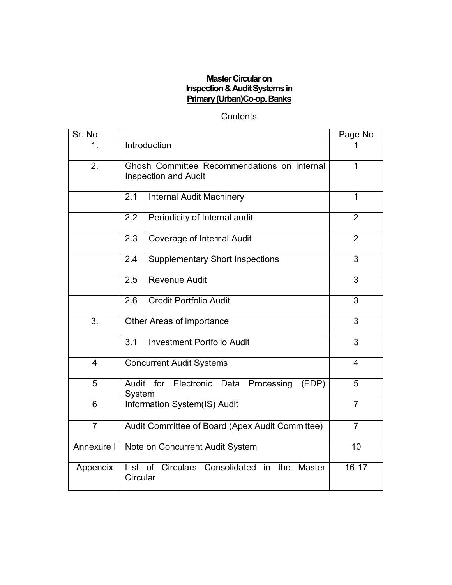## **Master Circular on Inspection & Audit Systems in Primary (Urban)Co-op. Banks**

# **Contents**

| Sr. No         |                                                                             | Page No        |  |  |
|----------------|-----------------------------------------------------------------------------|----------------|--|--|
| 1.             | Introduction                                                                |                |  |  |
| 2.             | Ghosh Committee Recommendations on Internal<br><b>Inspection and Audit</b>  | 1              |  |  |
|                | 2.1<br><b>Internal Audit Machinery</b>                                      | $\overline{1}$ |  |  |
|                | 2.2<br>Periodicity of Internal audit                                        | $\overline{2}$ |  |  |
|                | <b>Coverage of Internal Audit</b><br>2.3                                    | $\overline{2}$ |  |  |
|                | 2.4<br><b>Supplementary Short Inspections</b>                               | 3              |  |  |
|                | <b>Revenue Audit</b><br>2.5                                                 | 3              |  |  |
|                | <b>Credit Portfolio Audit</b><br>2.6                                        | 3              |  |  |
| 3.             | $\overline{3}$<br>Other Areas of importance                                 |                |  |  |
|                | <b>Investment Portfolio Audit</b><br>3.1                                    | 3              |  |  |
| 4              | <b>Concurrent Audit Systems</b>                                             | $\overline{4}$ |  |  |
| 5              | for Electronic Data Processing<br>Audit<br>(EDP)<br>System                  |                |  |  |
| 6              | Information System(IS) Audit<br>$\overline{7}$                              |                |  |  |
| $\overline{7}$ | $\overline{7}$<br>Audit Committee of Board (Apex Audit Committee)           |                |  |  |
| Annexure I     | 10<br>Note on Concurrent Audit System                                       |                |  |  |
| Appendix       | List of Circulars Consolidated in<br>the<br>$16 - 17$<br>Master<br>Circular |                |  |  |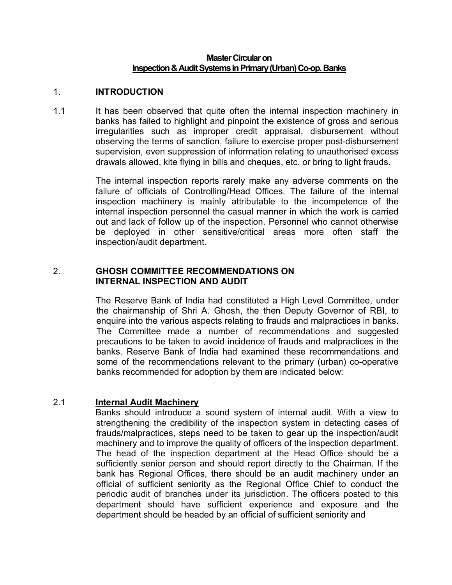#### **Master Circular on Inspection & Audit Systems in Primary (Urban) Co-op. Banks**

#### 1. **INTRODUCTION**

1.1 It has been observed that quite often the internal inspection machinery in banks has failed to highlight and pinpoint the existence of gross and serious irregularities such as improper credit appraisal, disbursement without observing the terms of sanction, failure to exercise proper post-disbursement supervision, even suppression of information relating to unauthorised excess drawals allowed, kite flying in bills and cheques, etc. or bring to light frauds.

> The internal inspection reports rarely make any adverse comments on the failure of officials of Controlling/Head Offices. The failure of the internal inspection machinery is mainly attributable to the incompetence of the internal inspection personnel the casual manner in which the work is carried out and lack of follow up of the inspection. Personnel who cannot otherwise be deployed in other sensitive/critical areas more often staff the inspection/audit department.

## 2. **GHOSH COMMITTEE RECOMMENDATIONS ON INTERNAL INSPECTION AND AUDIT**

 The Reserve Bank of India had constituted a High Level Committee, under the chairmanship of Shri A. Ghosh, the then Deputy Governor of RBI, to enquire into the various aspects relating to frauds and malpractices in banks. The Committee made a number of recommendations and suggested precautions to be taken to avoid incidence of frauds and malpractices in the banks. Reserve Bank of India had examined these recommendations and some of the recommendations relevant to the primary (urban) co-operative banks recommended for adoption by them are indicated below:

## 2.1 **Internal Audit Machinery**

 Banks should introduce a sound system of internal audit. With a view to strengthening the credibility of the inspection system in detecting cases of frauds/malpractices, steps need to be taken to gear up the inspection/audit machinery and to improve the quality of officers of the inspection department. The head of the inspection department at the Head Office should be a sufficiently senior person and should report directly to the Chairman. If the bank has Regional Offices, there should be an audit machinery under an official of sufficient seniority as the Regional Office Chief to conduct the periodic audit of branches under its jurisdiction. The officers posted to this department should have sufficient experience and exposure and the department should be headed by an official of sufficient seniority and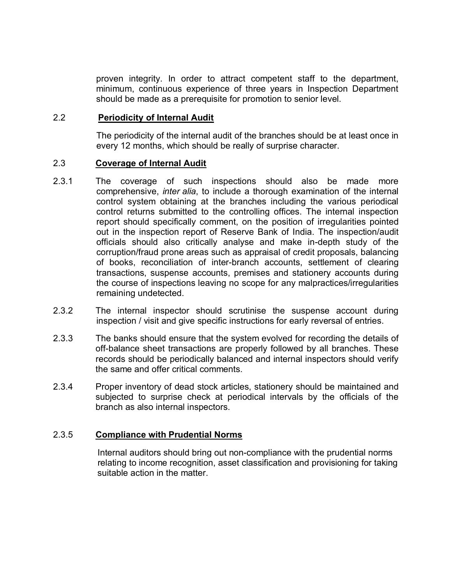proven integrity. In order to attract competent staff to the department, minimum, continuous experience of three years in Inspection Department should be made as a prerequisite for promotion to senior level.

## 2.2 **Periodicity of Internal Audit**

The periodicity of the internal audit of the branches should be at least once in every 12 months, which should be really of surprise character.

## 2.3 **Coverage of Internal Audit**

- 2.3.1 The coverage of such inspections should also be made more comprehensive, *inter alia*, to include a thorough examination of the internal control system obtaining at the branches including the various periodical control returns submitted to the controlling offices. The internal inspection report should specifically comment, on the position of irregularities pointed out in the inspection report of Reserve Bank of India. The inspection/audit officials should also critically analyse and make in-depth study of the corruption/fraud prone areas such as appraisal of credit proposals, balancing of books, reconciliation of inter-branch accounts, settlement of clearing transactions, suspense accounts, premises and stationery accounts during the course of inspections leaving no scope for any malpractices/irregularities remaining undetected.
- 2.3.2 The internal inspector should scrutinise the suspense account during inspection / visit and give specific instructions for early reversal of entries.
- 2.3.3 The banks should ensure that the system evolved for recording the details of off-balance sheet transactions are properly followed by all branches. These records should be periodically balanced and internal inspectors should verify the same and offer critical comments.
- 2.3.4 Proper inventory of dead stock articles, stationery should be maintained and subjected to surprise check at periodical intervals by the officials of the branch as also internal inspectors.

## 2.3.5 **Compliance with Prudential Norms**

 Internal auditors should bring out non-compliance with the prudential norms relating to income recognition, asset classification and provisioning for taking suitable action in the matter.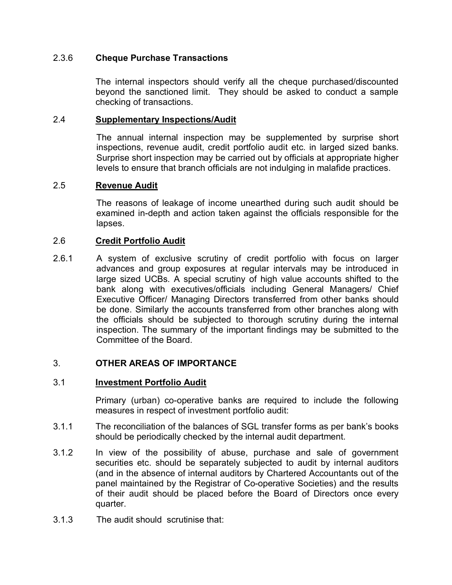## 2.3.6 **Cheque Purchase Transactions**

The internal inspectors should verify all the cheque purchased/discounted beyond the sanctioned limit. They should be asked to conduct a sample checking of transactions.

## 2.4 **Supplementary Inspections/Audit**

The annual internal inspection may be supplemented by surprise short inspections, revenue audit, credit portfolio audit etc. in larged sized banks. Surprise short inspection may be carried out by officials at appropriate higher levels to ensure that branch officials are not indulging in malafide practices.

## 2.5 **Revenue Audit**

The reasons of leakage of income unearthed during such audit should be examined in-depth and action taken against the officials responsible for the lapses.

## 2.6 **Credit Portfolio Audit**

2.6.1 A system of exclusive scrutiny of credit portfolio with focus on larger advances and group exposures at regular intervals may be introduced in large sized UCBs. A special scrutiny of high value accounts shifted to the bank along with executives/officials including General Managers/ Chief Executive Officer/ Managing Directors transferred from other banks should be done. Similarly the accounts transferred from other branches along with the officials should be subjected to thorough scrutiny during the internal inspection. The summary of the important findings may be submitted to the Committee of the Board.

## 3. **OTHER AREAS OF IMPORTANCE**

## 3.1 **Investment Portfolio Audit**

Primary (urban) co-operative banks are required to include the following measures in respect of investment portfolio audit:

- 3.1.1 The reconciliation of the balances of SGL transfer forms as per bank's books should be periodically checked by the internal audit department.
- 3.1.2 In view of the possibility of abuse, purchase and sale of government securities etc. should be separately subjected to audit by internal auditors (and in the absence of internal auditors by Chartered Accountants out of the panel maintained by the Registrar of Co-operative Societies) and the results of their audit should be placed before the Board of Directors once every quarter.
- 3.1.3 The audit should scrutinise that: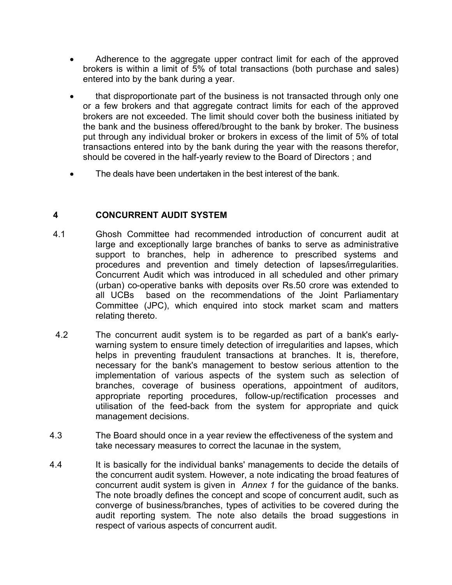- Adherence to the aggregate upper contract limit for each of the approved brokers is within a limit of 5% of total transactions (both purchase and sales) entered into by the bank during a year.
- that disproportionate part of the business is not transacted through only one or a few brokers and that aggregate contract limits for each of the approved brokers are not exceeded. The limit should cover both the business initiated by the bank and the business offered/brought to the bank by broker. The business put through any individual broker or brokers in excess of the limit of 5% of total transactions entered into by the bank during the year with the reasons therefor, should be covered in the half-yearly review to the Board of Directors ; and
- The deals have been undertaken in the best interest of the bank.

# **4 CONCURRENT AUDIT SYSTEM**

- 4.1 Ghosh Committee had recommended introduction of concurrent audit at large and exceptionally large branches of banks to serve as administrative support to branches, help in adherence to prescribed systems and procedures and prevention and timely detection of lapses/irregularities. Concurrent Audit which was introduced in all scheduled and other primary (urban) co-operative banks with deposits over Rs.50 crore was extended to all UCBs based on the recommendations of the Joint Parliamentary Committee (JPC), which enquired into stock market scam and matters relating thereto.
- 4.2 The concurrent audit system is to be regarded as part of a bank's earlywarning system to ensure timely detection of irregularities and lapses, which helps in preventing fraudulent transactions at branches. It is, therefore, necessary for the bank's management to bestow serious attention to the implementation of various aspects of the system such as selection of branches, coverage of business operations, appointment of auditors, appropriate reporting procedures, follow-up/rectification processes and utilisation of the feed-back from the system for appropriate and quick management decisions.
- 4.3 The Board should once in a year review the effectiveness of the system and take necessary measures to correct the lacunae in the system,
- 4.4 It is basically for the individual banks' managements to decide the details of the concurrent audit system. However, a note indicating the broad features of concurrent audit system is given in *Annex 1* for the guidance of the banks. The note broadly defines the concept and scope of concurrent audit, such as converge of business/branches, types of activities to be covered during the audit reporting system. The note also details the broad suggestions in respect of various aspects of concurrent audit.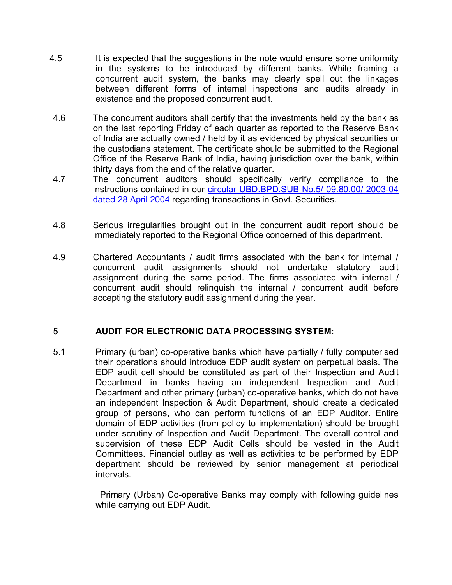- 4.5 It is expected that the suggestions in the note would ensure some uniformity in the systems to be introduced by different banks. While framing a concurrent audit system, the banks may clearly spell out the linkages between different forms of internal inspections and audits already in existence and the proposed concurrent audit.
- 4.6 The concurrent auditors shall certify that the investments held by the bank as on the last reporting Friday of each quarter as reported to the Reserve Bank of India are actually owned / held by it as evidenced by physical securities or the custodians statement. The certificate should be submitted to the Regional Office of the Reserve Bank of India, having jurisdiction over the bank, within thirty days from the end of the relative quarter.
- 4.7 The concurrent auditors should specifically verify compliance to the instructions contained in our [circular UBD.BPD.SUB No.5/ 09.80.00/ 2003-04](http://rbi.org.in/scripts/NotificationUser.aspx?Id=1612&Mode=0) [dated 28 April 2004](http://rbi.org.in/scripts/NotificationUser.aspx?Id=1612&Mode=0) regarding transactions in Govt. Securities.
- 4.8 Serious irregularities brought out in the concurrent audit report should be immediately reported to the Regional Office concerned of this department.
- 4.9 Chartered Accountants / audit firms associated with the bank for internal / concurrent audit assignments should not undertake statutory audit assignment during the same period. The firms associated with internal / concurrent audit should relinquish the internal / concurrent audit before accepting the statutory audit assignment during the year.

# 5 **AUDIT FOR ELECTRONIC DATA PROCESSING SYSTEM:**

5.1 Primary (urban) co-operative banks which have partially / fully computerised their operations should introduce EDP audit system on perpetual basis. The EDP audit cell should be constituted as part of their Inspection and Audit Department in banks having an independent Inspection and Audit Department and other primary (urban) co-operative banks, which do not have an independent Inspection & Audit Department, should create a dedicated group of persons, who can perform functions of an EDP Auditor. Entire domain of EDP activities (from policy to implementation) should be brought under scrutiny of Inspection and Audit Department. The overall control and supervision of these EDP Audit Cells should be vested in the Audit Committees. Financial outlay as well as activities to be performed by EDP department should be reviewed by senior management at periodical intervals.

> Primary (Urban) Co-operative Banks may comply with following guidelines while carrying out EDP Audit.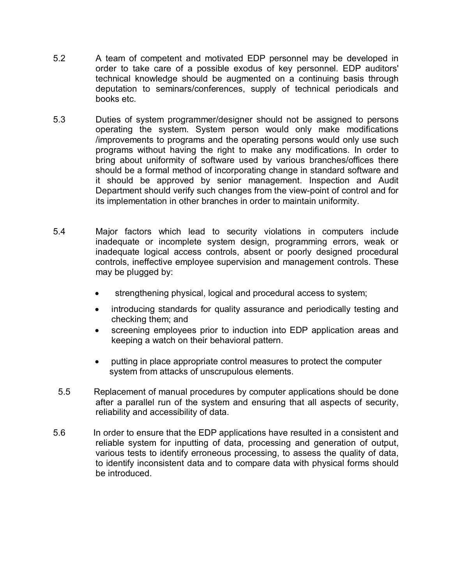- 5.2 A team of competent and motivated EDP personnel may be developed in order to take care of a possible exodus of key personnel. EDP auditors' technical knowledge should be augmented on a continuing basis through deputation to seminars/conferences, supply of technical periodicals and books etc.
- 5.3 Duties of system programmer/designer should not be assigned to persons operating the system. System person would only make modifications /improvements to programs and the operating persons would only use such programs without having the right to make any modifications. In order to bring about uniformity of software used by various branches/offices there should be a formal method of incorporating change in standard software and it should be approved by senior management. Inspection and Audit Department should verify such changes from the view-point of control and for its implementation in other branches in order to maintain uniformity.
- 5.4 Major factors which lead to security violations in computers include inadequate or incomplete system design, programming errors, weak or inadequate logical access controls, absent or poorly designed procedural controls, ineffective employee supervision and management controls. These may be plugged by:
	- · strengthening physical, logical and procedural access to system;
	- · introducing standards for quality assurance and periodically testing and checking them; and
	- screening employees prior to induction into EDP application areas and keeping a watch on their behavioral pattern.
	- · putting in place appropriate control measures to protect the computer system from attacks of unscrupulous elements.
- 5.5 Replacement of manual procedures by computer applications should be done after a parallel run of the system and ensuring that all aspects of security, reliability and accessibility of data.
- 5.6 In order to ensure that the EDP applications have resulted in a consistent and reliable system for inputting of data, processing and generation of output, various tests to identify erroneous processing, to assess the quality of data, to identify inconsistent data and to compare data with physical forms should be introduced.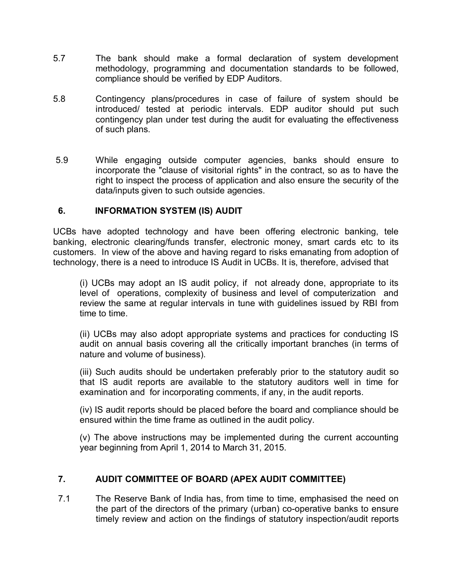- 5.7 The bank should make a formal declaration of system development methodology, programming and documentation standards to be followed, compliance should be verified by EDP Auditors.
- 5.8 Contingency plans/procedures in case of failure of system should be introduced/ tested at periodic intervals. EDP auditor should put such contingency plan under test during the audit for evaluating the effectiveness of such plans.
- 5.9 While engaging outside computer agencies, banks should ensure to incorporate the "clause of visitorial rights" in the contract, so as to have the right to inspect the process of application and also ensure the security of the data/inputs given to such outside agencies.

## **6. INFORMATION SYSTEM (IS) AUDIT**

UCBs have adopted technology and have been offering electronic banking, tele banking, electronic clearing/funds transfer, electronic money, smart cards etc to its customers. In view of the above and having regard to risks emanating from adoption of technology, there is a need to introduce IS Audit in UCBs. It is, therefore, advised that

(i) UCBs may adopt an IS audit policy, if not already done, appropriate to its level of operations, complexity of business and level of computerization and review the same at regular intervals in tune with guidelines issued by RBI from time to time.

(ii) UCBs may also adopt appropriate systems and practices for conducting IS audit on annual basis covering all the critically important branches (in terms of nature and volume of business).

(iii) Such audits should be undertaken preferably prior to the statutory audit so that IS audit reports are available to the statutory auditors well in time for examination and for incorporating comments, if any, in the audit reports.

(iv) IS audit reports should be placed before the board and compliance should be ensured within the time frame as outlined in the audit policy.

(v) The above instructions may be implemented during the current accounting year beginning from April 1, 2014 to March 31, 2015.

# **7. AUDIT COMMITTEE OF BOARD (APEX AUDIT COMMITTEE)**

 7.1 The Reserve Bank of India has, from time to time, emphasised the need on the part of the directors of the primary (urban) co-operative banks to ensure timely review and action on the findings of statutory inspection/audit reports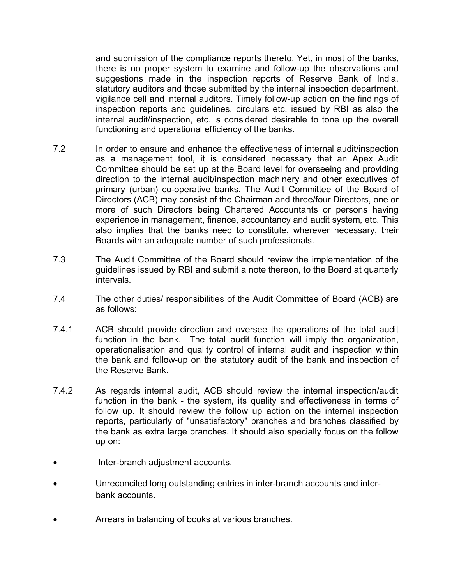and submission of the compliance reports thereto. Yet, in most of the banks, there is no proper system to examine and follow-up the observations and suggestions made in the inspection reports of Reserve Bank of India, statutory auditors and those submitted by the internal inspection department, vigilance cell and internal auditors. Timely follow-up action on the findings of inspection reports and guidelines, circulars etc. issued by RBI as also the internal audit/inspection, etc. is considered desirable to tone up the overall functioning and operational efficiency of the banks.

- 7.2 In order to ensure and enhance the effectiveness of internal audit/inspection as a management tool, it is considered necessary that an Apex Audit Committee should be set up at the Board level for overseeing and providing direction to the internal audit/inspection machinery and other executives of primary (urban) co-operative banks. The Audit Committee of the Board of Directors (ACB) may consist of the Chairman and three/four Directors, one or more of such Directors being Chartered Accountants or persons having experience in management, finance, accountancy and audit system, etc. This also implies that the banks need to constitute, wherever necessary, their Boards with an adequate number of such professionals.
- 7.3 The Audit Committee of the Board should review the implementation of the guidelines issued by RBI and submit a note thereon, to the Board at quarterly intervals.
- 7.4 The other duties/ responsibilities of the Audit Committee of Board (ACB) are as follows:
- 7.4.1 ACB should provide direction and oversee the operations of the total audit function in the bank. The total audit function will imply the organization, operationalisation and quality control of internal audit and inspection within the bank and follow-up on the statutory audit of the bank and inspection of the Reserve Bank.
- 7.4.2 As regards internal audit, ACB should review the internal inspection/audit function in the bank - the system, its quality and effectiveness in terms of follow up. It should review the follow up action on the internal inspection reports, particularly of "unsatisfactory" branches and branches classified by the bank as extra large branches. It should also specially focus on the follow up on:
- Inter-branch adjustment accounts.
- · Unreconciled long outstanding entries in inter-branch accounts and interbank accounts.
- Arrears in balancing of books at various branches.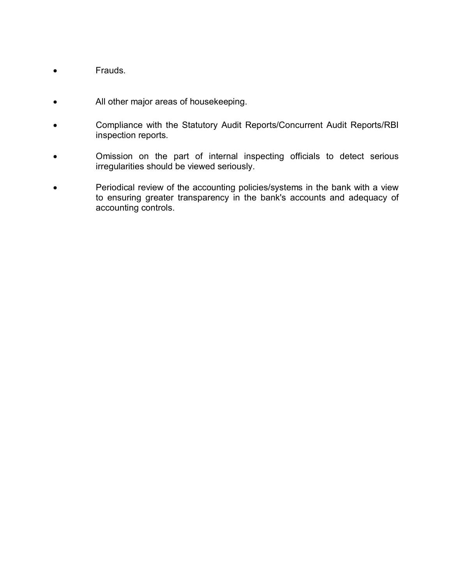- · Frauds.
- · All other major areas of housekeeping.
- · Compliance with the Statutory Audit Reports/Concurrent Audit Reports/RBI inspection reports.
- · Omission on the part of internal inspecting officials to detect serious irregularities should be viewed seriously.
- · Periodical review of the accounting policies/systems in the bank with a view to ensuring greater transparency in the bank's accounts and adequacy of accounting controls.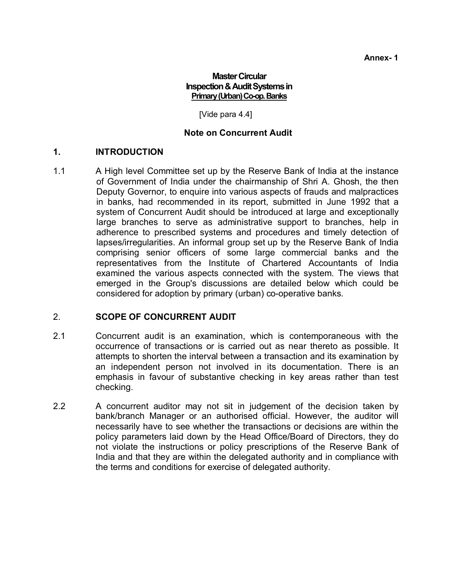## **Master Circular Inspection & Audit Systems in Primary (Urban) Co-op. Banks**

[Vide para 4.4]

## **Note on Concurrent Audit**

## **1. INTRODUCTION**

1.1 A High level Committee set up by the Reserve Bank of India at the instance of Government of India under the chairmanship of Shri A. Ghosh, the then Deputy Governor, to enquire into various aspects of frauds and malpractices in banks, had recommended in its report, submitted in June 1992 that a system of Concurrent Audit should be introduced at large and exceptionally large branches to serve as administrative support to branches, help in adherence to prescribed systems and procedures and timely detection of lapses/irregularities. An informal group set up by the Reserve Bank of India comprising senior officers of some large commercial banks and the representatives from the Institute of Chartered Accountants of India examined the various aspects connected with the system. The views that emerged in the Group's discussions are detailed below which could be considered for adoption by primary (urban) co-operative banks.

## 2. **SCOPE OF CONCURRENT AUDIT**

- 2.1 Concurrent audit is an examination, which is contemporaneous with the occurrence of transactions or is carried out as near thereto as possible. It attempts to shorten the interval between a transaction and its examination by an independent person not involved in its documentation. There is an emphasis in favour of substantive checking in key areas rather than test checking.
- 2.2 A concurrent auditor may not sit in judgement of the decision taken by bank/branch Manager or an authorised official. However, the auditor will necessarily have to see whether the transactions or decisions are within the policy parameters laid down by the Head Office/Board of Directors, they do not violate the instructions or policy prescriptions of the Reserve Bank of India and that they are within the delegated authority and in compliance with the terms and conditions for exercise of delegated authority.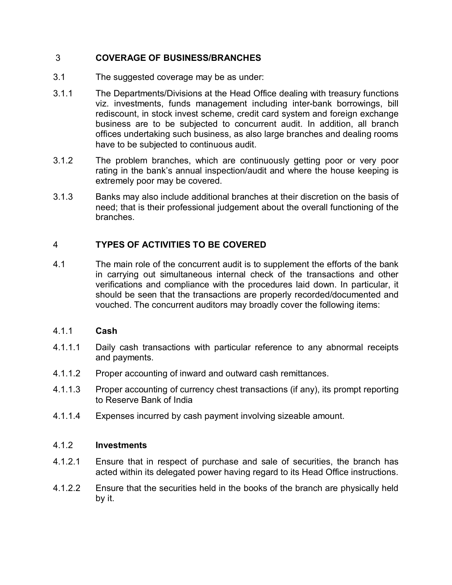# 3 **COVERAGE OF BUSINESS/BRANCHES**

- 3.1 The suggested coverage may be as under:
- 3.1.1 The Departments/Divisions at the Head Office dealing with treasury functions viz. investments, funds management including inter-bank borrowings, bill rediscount, in stock invest scheme, credit card system and foreign exchange business are to be subjected to concurrent audit. In addition, all branch offices undertaking such business, as also large branches and dealing rooms have to be subjected to continuous audit.
- 3.1.2 The problem branches, which are continuously getting poor or very poor rating in the bank's annual inspection/audit and where the house keeping is extremely poor may be covered.
- 3.1.3 Banks may also include additional branches at their discretion on the basis of need; that is their professional judgement about the overall functioning of the branches.

# 4 **TYPES OF ACTIVITIES TO BE COVERED**

4.1 The main role of the concurrent audit is to supplement the efforts of the bank in carrying out simultaneous internal check of the transactions and other verifications and compliance with the procedures laid down. In particular, it should be seen that the transactions are properly recorded/documented and vouched. The concurrent auditors may broadly cover the following items:

## 4.1.1 **Cash**

- 4.1.1.1 Daily cash transactions with particular reference to any abnormal receipts and payments.
- 4.1.1.2 Proper accounting of inward and outward cash remittances.
- 4.1.1.3 Proper accounting of currency chest transactions (if any), its prompt reporting to Reserve Bank of India
- 4.1.1.4 Expenses incurred by cash payment involving sizeable amount.

#### 4.1.2 **Investments**

- 4.1.2.1 Ensure that in respect of purchase and sale of securities, the branch has acted within its delegated power having regard to its Head Office instructions.
- 4.1.2.2 Ensure that the securities held in the books of the branch are physically held by it.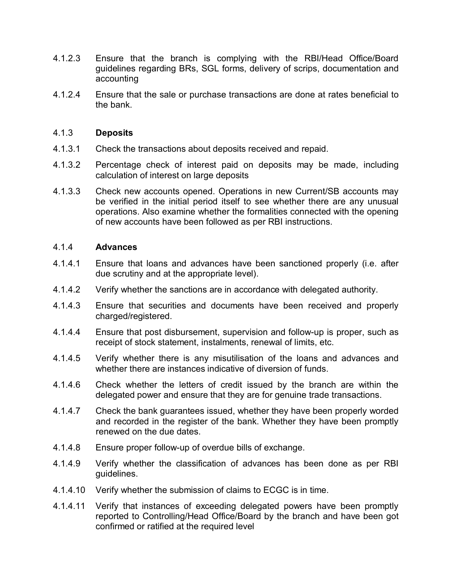- 4.1.2.3 Ensure that the branch is complying with the RBI/Head Office/Board guidelines regarding BRs, SGL forms, delivery of scrips, documentation and accounting
- 4.1.2.4 Ensure that the sale or purchase transactions are done at rates beneficial to the bank.

## 4.1.3 **Deposits**

- 4.1.3.1 Check the transactions about deposits received and repaid.
- 4.1.3.2 Percentage check of interest paid on deposits may be made, including calculation of interest on large deposits
- 4.1.3.3 Check new accounts opened. Operations in new Current/SB accounts may be verified in the initial period itself to see whether there are any unusual operations. Also examine whether the formalities connected with the opening of new accounts have been followed as per RBI instructions.

## 4.1.4 **Advances**

- 4.1.4.1 Ensure that loans and advances have been sanctioned properly (i.e. after due scrutiny and at the appropriate level).
- 4.1.4.2 Verify whether the sanctions are in accordance with delegated authority.
- 4.1.4.3 Ensure that securities and documents have been received and properly charged/registered.
- 4.1.4.4 Ensure that post disbursement, supervision and follow-up is proper, such as receipt of stock statement, instalments, renewal of limits, etc.
- 4.1.4.5 Verify whether there is any misutilisation of the loans and advances and whether there are instances indicative of diversion of funds.
- 4.1.4.6 Check whether the letters of credit issued by the branch are within the delegated power and ensure that they are for genuine trade transactions.
- 4.1.4.7 Check the bank guarantees issued, whether they have been properly worded and recorded in the register of the bank. Whether they have been promptly renewed on the due dates.
- 4.1.4.8 Ensure proper follow-up of overdue bills of exchange.
- 4.1.4.9 Verify whether the classification of advances has been done as per RBI guidelines.
- 4.1.4.10 Verify whether the submission of claims to ECGC is in time.
- 4.1.4.11 Verify that instances of exceeding delegated powers have been promptly reported to Controlling/Head Office/Board by the branch and have been got confirmed or ratified at the required level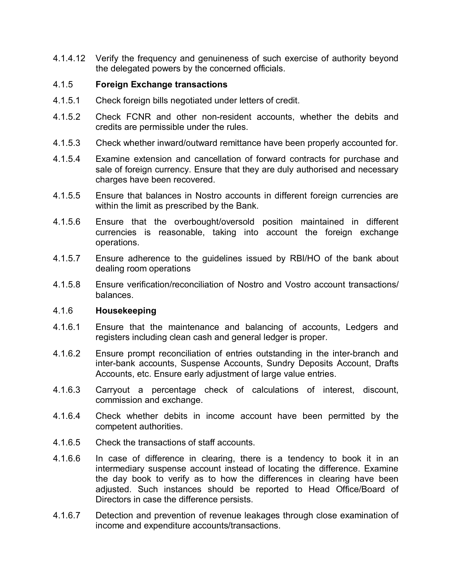4.1.4.12 Verify the frequency and genuineness of such exercise of authority beyond the delegated powers by the concerned officials.

## 4.1.5 **Foreign Exchange transactions**

- 4.1.5.1 Check foreign bills negotiated under letters of credit.
- 4.1.5.2 Check FCNR and other non-resident accounts, whether the debits and credits are permissible under the rules.
- 4.1.5.3 Check whether inward/outward remittance have been properly accounted for.
- 4.1.5.4 Examine extension and cancellation of forward contracts for purchase and sale of foreign currency. Ensure that they are duly authorised and necessary charges have been recovered.
- 4.1.5.5 Ensure that balances in Nostro accounts in different foreign currencies are within the limit as prescribed by the Bank.
- 4.1.5.6 Ensure that the overbought/oversold position maintained in different currencies is reasonable, taking into account the foreign exchange operations.
- 4.1.5.7 Ensure adherence to the guidelines issued by RBI/HO of the bank about dealing room operations
- 4.1.5.8 Ensure verification/reconciliation of Nostro and Vostro account transactions/ balances.

#### 4.1.6 **Housekeeping**

- 4.1.6.1 Ensure that the maintenance and balancing of accounts, Ledgers and registers including clean cash and general ledger is proper.
- 4.1.6.2 Ensure prompt reconciliation of entries outstanding in the inter-branch and inter-bank accounts, Suspense Accounts, Sundry Deposits Account, Drafts Accounts, etc. Ensure early adjustment of large value entries.
- 4.1.6.3 Carryout a percentage check of calculations of interest, discount, commission and exchange.
- 4.1.6.4 Check whether debits in income account have been permitted by the competent authorities.
- 4.1.6.5 Check the transactions of staff accounts.
- 4.1.6.6 In case of difference in clearing, there is a tendency to book it in an intermediary suspense account instead of locating the difference. Examine the day book to verify as to how the differences in clearing have been adjusted. Such instances should be reported to Head Office/Board of Directors in case the difference persists.
- 4.1.6.7 Detection and prevention of revenue leakages through close examination of income and expenditure accounts/transactions.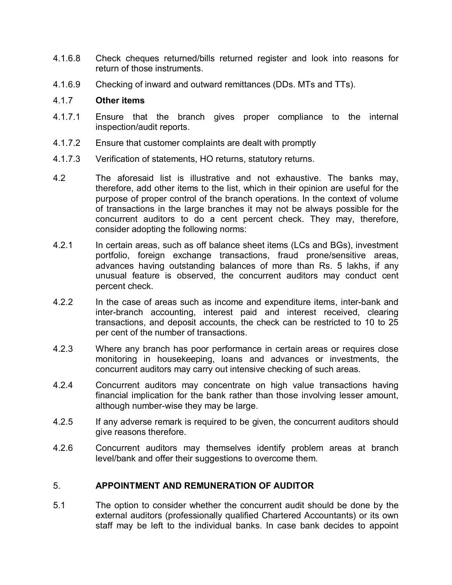- 4.1.6.8 Check cheques returned/bills returned register and look into reasons for return of those instruments.
- 4.1.6.9 Checking of inward and outward remittances (DDs. MTs and TTs).

## 4.1.7 **Other items**

- 4.1.7.1 Ensure that the branch gives proper compliance to the internal inspection/audit reports.
- 4.1.7.2 Ensure that customer complaints are dealt with promptly
- 4.1.7.3 Verification of statements, HO returns, statutory returns.
- 4.2 The aforesaid list is illustrative and not exhaustive. The banks may, therefore, add other items to the list, which in their opinion are useful for the purpose of proper control of the branch operations. In the context of volume of transactions in the large branches it may not be always possible for the concurrent auditors to do a cent percent check. They may, therefore, consider adopting the following norms:
- 4.2.1 In certain areas, such as off balance sheet items (LCs and BGs), investment portfolio, foreign exchange transactions, fraud prone/sensitive areas, advances having outstanding balances of more than Rs. 5 lakhs, if any unusual feature is observed, the concurrent auditors may conduct cent percent check.
- 4.2.2 In the case of areas such as income and expenditure items, inter-bank and inter-branch accounting, interest paid and interest received, clearing transactions, and deposit accounts, the check can be restricted to 10 to 25 per cent of the number of transactions.
- 4.2.3 Where any branch has poor performance in certain areas or requires close monitoring in housekeeping, loans and advances or investments, the concurrent auditors may carry out intensive checking of such areas.
- 4.2.4 Concurrent auditors may concentrate on high value transactions having financial implication for the bank rather than those involving lesser amount, although number-wise they may be large.
- 4.2.5 If any adverse remark is required to be given, the concurrent auditors should give reasons therefore.
- 4.2.6 Concurrent auditors may themselves identify problem areas at branch level/bank and offer their suggestions to overcome them.

## 5. **APPOINTMENT AND REMUNERATION OF AUDITOR**

5.1 The option to consider whether the concurrent audit should be done by the external auditors (professionally qualified Chartered Accountants) or its own staff may be left to the individual banks. In case bank decides to appoint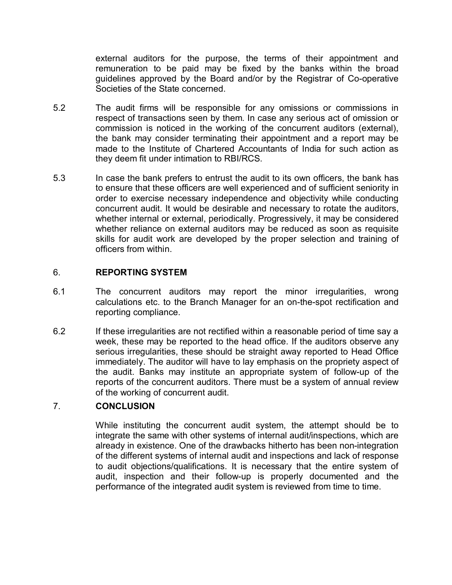external auditors for the purpose, the terms of their appointment and remuneration to be paid may be fixed by the banks within the broad guidelines approved by the Board and/or by the Registrar of Co-operative Societies of the State concerned.

- 5.2 The audit firms will be responsible for any omissions or commissions in respect of transactions seen by them. In case any serious act of omission or commission is noticed in the working of the concurrent auditors (external), the bank may consider terminating their appointment and a report may be made to the Institute of Chartered Accountants of India for such action as they deem fit under intimation to RBI/RCS.
- 5.3 In case the bank prefers to entrust the audit to its own officers, the bank has to ensure that these officers are well experienced and of sufficient seniority in order to exercise necessary independence and objectivity while conducting concurrent audit. It would be desirable and necessary to rotate the auditors, whether internal or external, periodically. Progressively, it may be considered whether reliance on external auditors may be reduced as soon as requisite skills for audit work are developed by the proper selection and training of officers from within.

## 6. **REPORTING SYSTEM**

- 6.1 The concurrent auditors may report the minor irregularities, wrong calculations etc. to the Branch Manager for an on-the-spot rectification and reporting compliance.
- 6.2 If these irregularities are not rectified within a reasonable period of time say a week, these may be reported to the head office. If the auditors observe any serious irregularities, these should be straight away reported to Head Office immediately. The auditor will have to lay emphasis on the propriety aspect of the audit. Banks may institute an appropriate system of follow-up of the reports of the concurrent auditors. There must be a system of annual review of the working of concurrent audit.

## 7. **CONCLUSION**

While instituting the concurrent audit system, the attempt should be to integrate the same with other systems of internal audit/inspections, which are already in existence. One of the drawbacks hitherto has been non-integration of the different systems of internal audit and inspections and lack of response to audit objections/qualifications. It is necessary that the entire system of audit, inspection and their follow-up is properly documented and the performance of the integrated audit system is reviewed from time to time.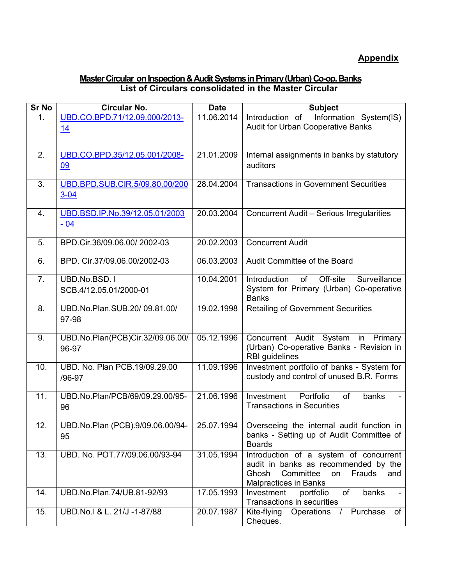## **Master Circular on Inspection & Audit Systems in Primary (Urban) Co-op. Banks List of Circulars consolidated in the Master Circular**

| Sr No          | <b>Circular No.</b>                        | <b>Date</b> | <b>Subject</b>                                                                                                                                              |
|----------------|--------------------------------------------|-------------|-------------------------------------------------------------------------------------------------------------------------------------------------------------|
| 1 <sub>1</sub> | UBD.CO.BPD.71/12.09.000/2013-<br>14        | 11.06.2014  | Information System(IS)<br>Introduction of<br>Audit for Urban Cooperative Banks                                                                              |
| 2.             | UBD.CO.BPD.35/12.05.001/2008-<br>09        | 21.01.2009  | Internal assignments in banks by statutory<br>auditors                                                                                                      |
| 3.             | UBD.BPD.SUB.CIR.5/09.80.00/200<br>$3 - 04$ | 28.04.2004  | <b>Transactions in Government Securities</b>                                                                                                                |
| 4.             | UBD.BSD.IP.No.39/12.05.01/2003<br>$-04$    | 20.03.2004  | <b>Concurrent Audit - Serious Irregularities</b>                                                                                                            |
| 5.             | BPD.Cir.36/09.06.00/2002-03                | 20.02.2003  | <b>Concurrent Audit</b>                                                                                                                                     |
| 6.             | BPD. Cir.37/09.06.00/2002-03               | 06.03.2003  | Audit Committee of the Board                                                                                                                                |
| 7.             | UBD.No.BSD.1<br>SCB.4/12.05.01/2000-01     | 10.04.2001  | Off-site<br>Surveillance<br>Introduction<br>of<br>System for Primary (Urban) Co-operative<br><b>Banks</b>                                                   |
| 8.             | UBD.No.Plan.SUB.20/09.81.00/<br>97-98      | 19.02.1998  | <b>Retailing of Government Securities</b>                                                                                                                   |
| 9.             | UBD.No.Plan(PCB)Cir.32/09.06.00/<br>96-97  | 05.12.1996  | Concurrent Audit System in Primary<br>(Urban) Co-operative Banks - Revision in<br><b>RBI</b> guidelines                                                     |
| 10.            | UBD. No. Plan PCB.19/09.29.00<br>/96-97    | 11.09.1996  | Investment portfolio of banks - System for<br>custody and control of unused B.R. Forms                                                                      |
| 11.            | UBD.No.Plan/PCB/69/09.29.00/95-<br>96      | 21.06.1996  | Investment<br>Portfolio<br>of<br>banks<br><b>Transactions in Securities</b>                                                                                 |
| 12.            | UBD.No.Plan (PCB).9/09.06.00/94-<br>95     | 25.07.1994  | Overseeing the internal audit function in<br>banks - Setting up of Audit Committee of<br><b>Boards</b>                                                      |
| 13.            | UBD. No. POT.77/09.06.00/93-94             | 31.05.1994  | Introduction of a system of concurrent<br>audit in banks as recommended by the<br>Committee<br>Ghosh<br>on<br>Frauds<br>and<br><b>Malpractices in Banks</b> |
| 14.            | UBD.No.Plan.74/UB.81-92/93                 | 17.05.1993  | of<br>Investment<br>banks<br>portfolio<br>Transactions in securities                                                                                        |
| 15.            | UBD.No.I & L. 21/J -1-87/88                | 20.07.1987  | Operations / Purchase<br>of<br>Kite-flying<br>Cheques.                                                                                                      |